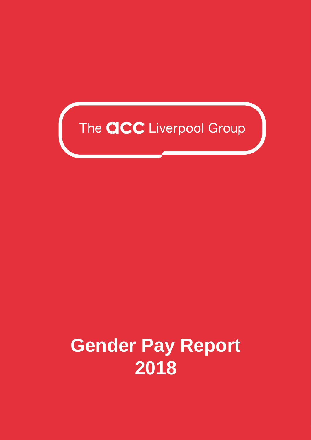

## **Gender Pay Report 2018**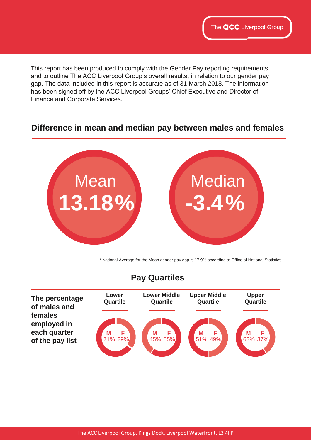This report has been produced to comply with the Gender Pay reporting requirements and to outline The ACC Liverpool Group's overall results, in relation to our gender pay gap. The data included in this report is accurate as of 31 March 2018. The information has been signed off by the ACC Liverpool Groups' Chief Executive and Director of Finance and Corporate Services.

## **Difference in mean and median pay between males and females**



\* National Average for the Mean gender pay gap is 17.9% according to Office of National Statistics

## **Pay Quartiles**